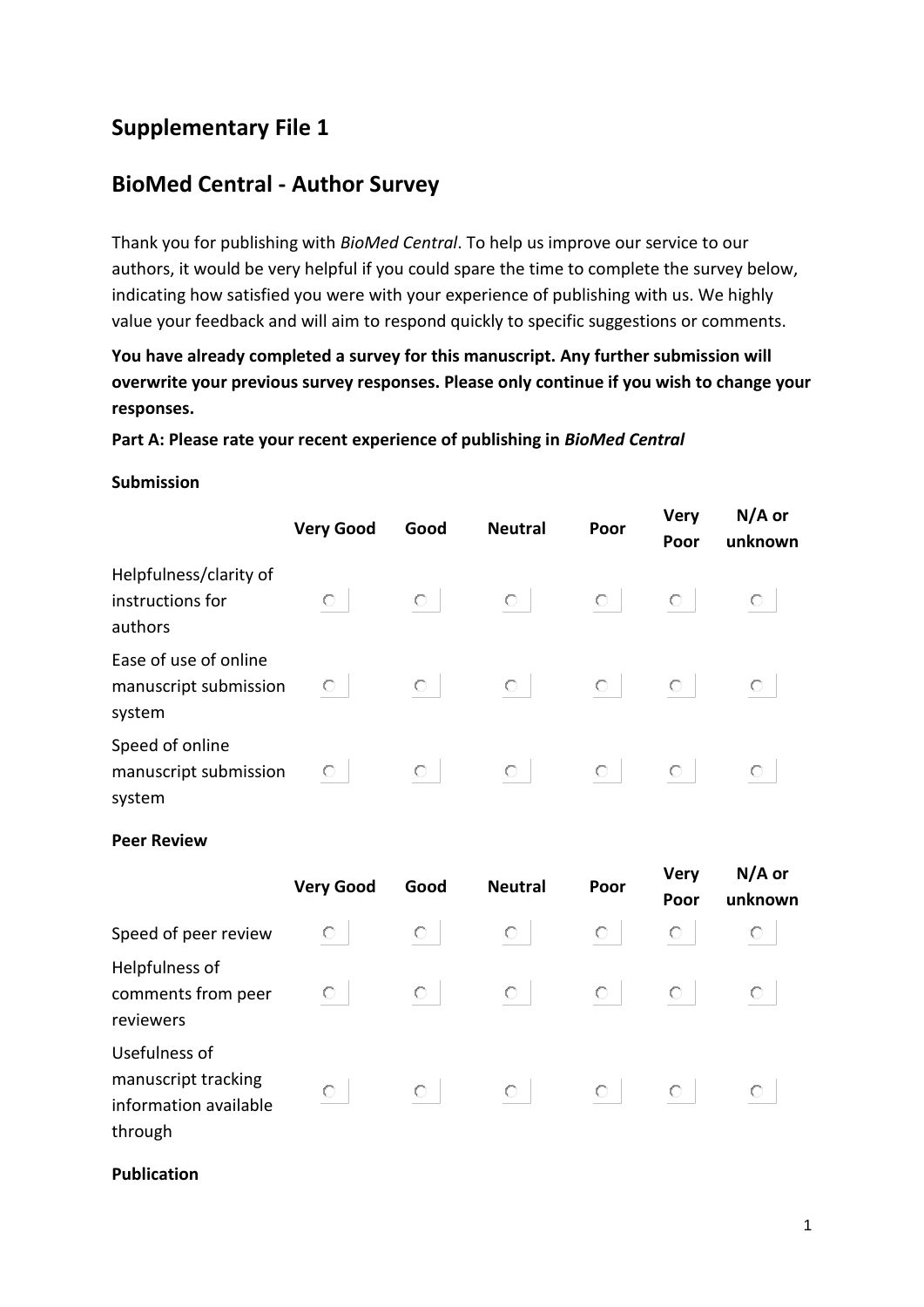# **Supplementary File 1**

## **BioMed Central - Author Survey**

Thank you for publishing with *BioMed Central*. To help us improve our service to our authors, it would be very helpful if you could spare the time to complete the survey below, indicating how satisfied you were with your experience of publishing with us. We highly value your feedback and will aim to respond quickly to specific suggestions or comments.

**You have already completed a survey for this manuscript. Any further submission will overwrite your previous survey responses. Please only continue if you wish to change your responses.** 

### **Part A: Please rate your recent experience of publishing in** *BioMed Central*

#### **Submission**

|                                                          | <b>Very Good</b> | Good | <b>Neutral</b> | Poor | <b>Very</b><br>Poor | $N/A$ or<br>unknown |
|----------------------------------------------------------|------------------|------|----------------|------|---------------------|---------------------|
| Helpfulness/clarity of<br>instructions for<br>authors    | О                | О    | O              | 0    | 0                   | $\circ$             |
| Ease of use of online<br>manuscript submission<br>system | О                | 0    | $\circ$        | 0    | 0                   | О                   |
| Speed of online<br>manuscript submission<br>system       | О                | О    | О              | 0    | O                   | О                   |

#### **Peer Review**

|                                                                          | <b>Very Good</b> | Good | <b>Neutral</b> | Poor | <b>Very</b><br>Poor | $N/A$ or<br>unknown |
|--------------------------------------------------------------------------|------------------|------|----------------|------|---------------------|---------------------|
| Speed of peer review                                                     | O.               | О    | О              | О    | О                   | $\circ$             |
| Helpfulness of<br>comments from peer<br>reviewers                        | О                | О    | О              | O    | О                   | О                   |
| Usefulness of<br>manuscript tracking<br>information available<br>through | О                | O    | $\circ$        | O    | O                   | О                   |

**Publication**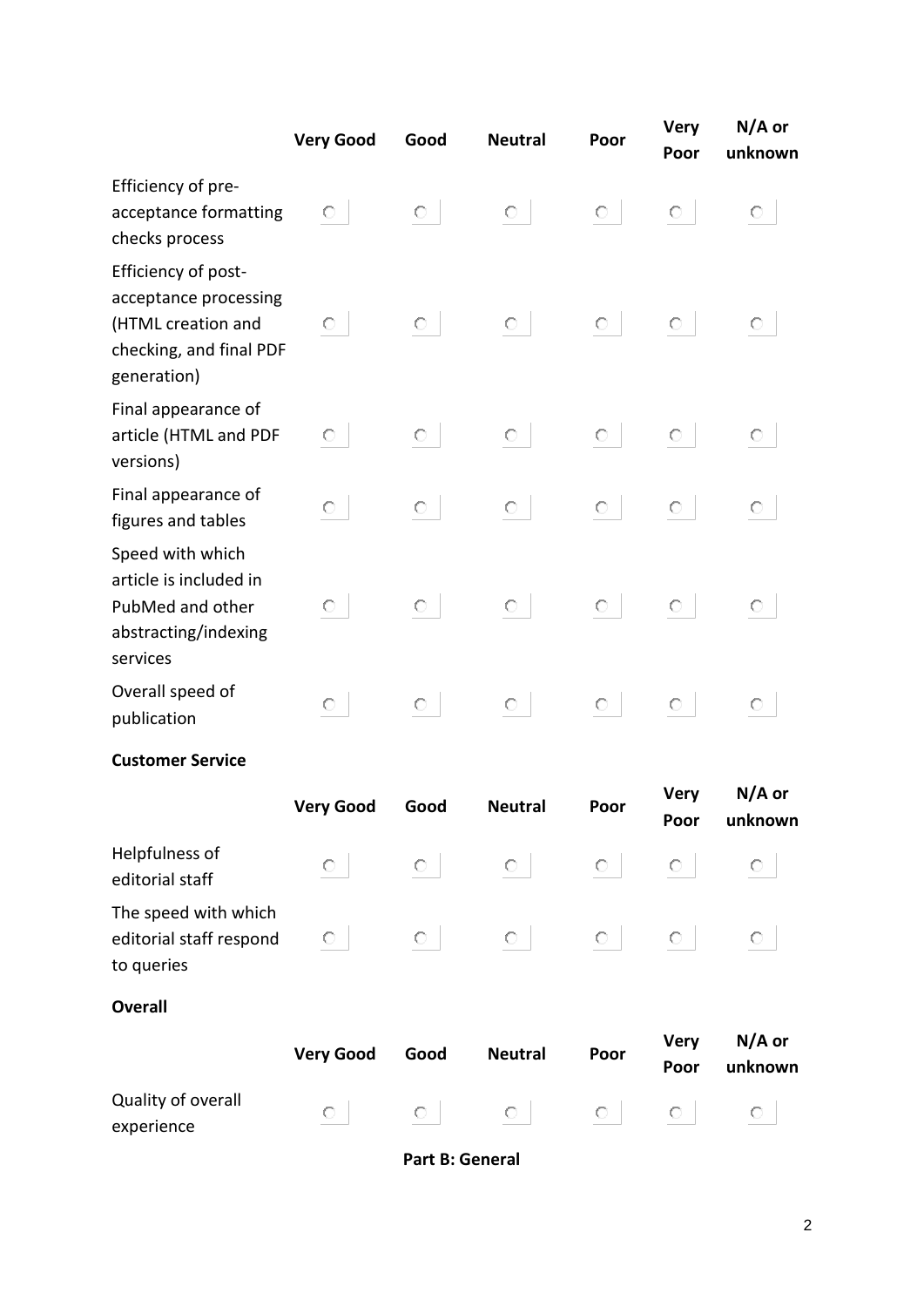|                                                                                                              | <b>Very Good</b> | Good    | <b>Neutral</b> | Poor    | <b>Very</b><br>Poor | $N/A$ or<br>unknown |
|--------------------------------------------------------------------------------------------------------------|------------------|---------|----------------|---------|---------------------|---------------------|
| Efficiency of pre-<br>acceptance formatting<br>checks process                                                | О                | $\circ$ | $\circ$        | $\circ$ | $\circ$             | $\circ$             |
| Efficiency of post-<br>acceptance processing<br>(HTML creation and<br>checking, and final PDF<br>generation) | О                | $\circ$ | $\circ$        | $\circ$ | $\circ$             | $\circ$             |
| Final appearance of<br>article (HTML and PDF<br>versions)                                                    | O                | $\circ$ | $\circ$        | $\circ$ | $\circ$             | $\circ$             |
| Final appearance of<br>figures and tables                                                                    | $\circ$          | $\circ$ | $\circ$        | $\circ$ | $\circ$             | $\circ$             |
| Speed with which<br>article is included in<br>PubMed and other<br>abstracting/indexing<br>services           | О                | $\circ$ | $\circ$        | $\circ$ | $\circ$             | O                   |
| Overall speed of<br>publication                                                                              | $\circ$          | $\circ$ | $\circ$        | $\circ$ | $\circ$             | $\circ$             |
| <b>Customer Service</b>                                                                                      |                  |         |                |         |                     |                     |
|                                                                                                              | <b>Very Good</b> | Good    | <b>Neutral</b> | Poor    | <b>Very</b><br>Poor | $N/A$ or<br>unknown |
| Helpfulness of<br>editorial staff                                                                            | O                | $\circ$ | $\circ$        | O       | O                   | O                   |
| The speed with which<br>editorial staff respond<br>to queries                                                | О                | O       | $\circ$        | $\circ$ | $\circ$             | $\circ$             |
| <b>Overall</b>                                                                                               |                  |         |                |         |                     |                     |
|                                                                                                              | <b>Very Good</b> | Good    | <b>Neutral</b> | Poor    | <b>Very</b><br>Poor | $N/A$ or<br>unknown |
| Quality of overall<br>experience                                                                             | $\circ$          | $\circ$ | $\circ$        | $\circ$ | $\circ$             | $\circ$             |

**Part B: General**